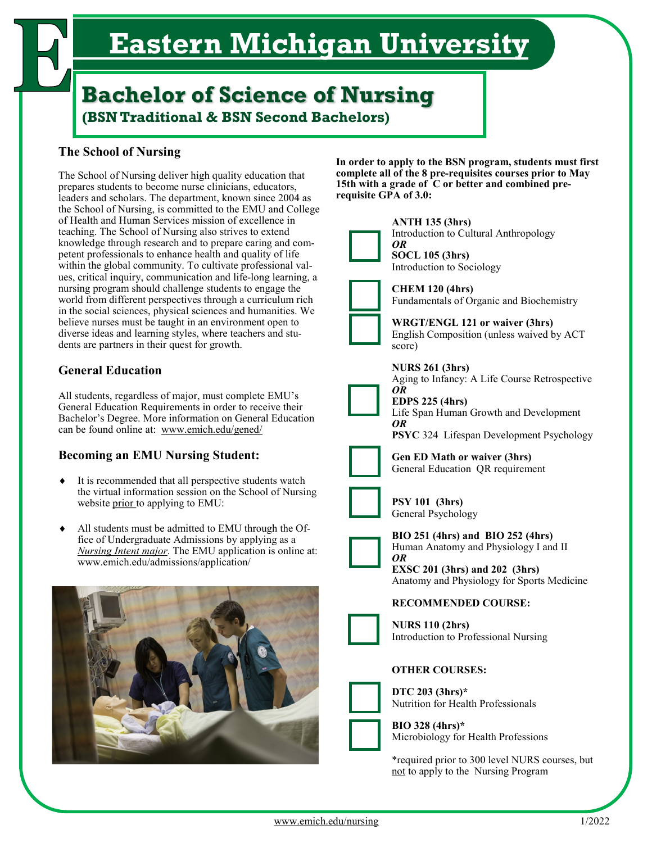# **Eastern Michigan University**

# **Bachelor of Science of Nursing (BSN Traditional & BSN Second Bachelors)**

# **The School of Nursing**

The School of Nursing deliver high quality education that prepares students to become nurse clinicians, educators, leaders and scholars. The department, known since 2004 as the School of Nursing, is committed to the EMU and College of Health and Human Services mission of excellence in teaching. The School of Nursing also strives to extend knowledge through research and to prepare caring and competent professionals to enhance health and quality of life within the global community. To cultivate professional values, critical inquiry, communication and life-long learning, a nursing program should challenge students to engage the world from different perspectives through a curriculum rich in the social sciences, physical sciences and humanities. We believe nurses must be taught in an environment open to diverse ideas and learning styles, where teachers and students are partners in their quest for growth.

# **General Education**

All students, regardless of major, must complete EMU's General Education Requirements in order to receive their Bachelor's Degree. More information on General Education can be found online at: www.emich.edu/gened/

# **Becoming an EMU Nursing Student:**

- It is recommended that all perspective students watch the virtual information session on the School of Nursing website prior to applying to EMU:
- All students must be admitted to EMU through the Office of Undergraduate Admissions by applying as a *Nursing Intent major*. The EMU application is online at: www.emich.edu/admissions/application/



**In order to apply to the BSN program, students must first complete all of the 8 pre-requisites courses prior to May 15th with a grade of C or better and combined prerequisite GPA of 3.0:**



**ANTH 135 (3hrs)** Introduction to Cultural Anthropology



*OR*  **SOCL 105 (3hrs)**

Introduction to Sociology

**CHEM 120 (4hrs)**

Fundamentals of Organic and Biochemistry

**WRGT/ENGL 121 or waiver (3hrs)** English Composition (unless waived by ACT score)



**EDPS 225 (4hrs)** Life Span Human Growth and Development *OR*

**PSYC** 324 Lifespan Development Psychology



**Gen ED Math or waiver (3hrs)** General Education QR requirement



**PSY 101 (3hrs)** General Psychology

**BIO 251 (4hrs) and BIO 252 (4hrs)** Human Anatomy and Physiology I and II *OR*

**EXSC 201 (3hrs) and 202 (3hrs)** Anatomy and Physiology for Sports Medicine

### **RECOMMENDED COURSE:**

**NURS 110 (2hrs)** Introduction to Professional Nursing

#### **OTHER COURSES:**

**DTC 203 (3hrs)\*** Nutrition for Health Professionals

**BIO 328 (4hrs)\*** Microbiology for Health Professions

\*required prior to 300 level NURS courses, but not to apply to the Nursing Program